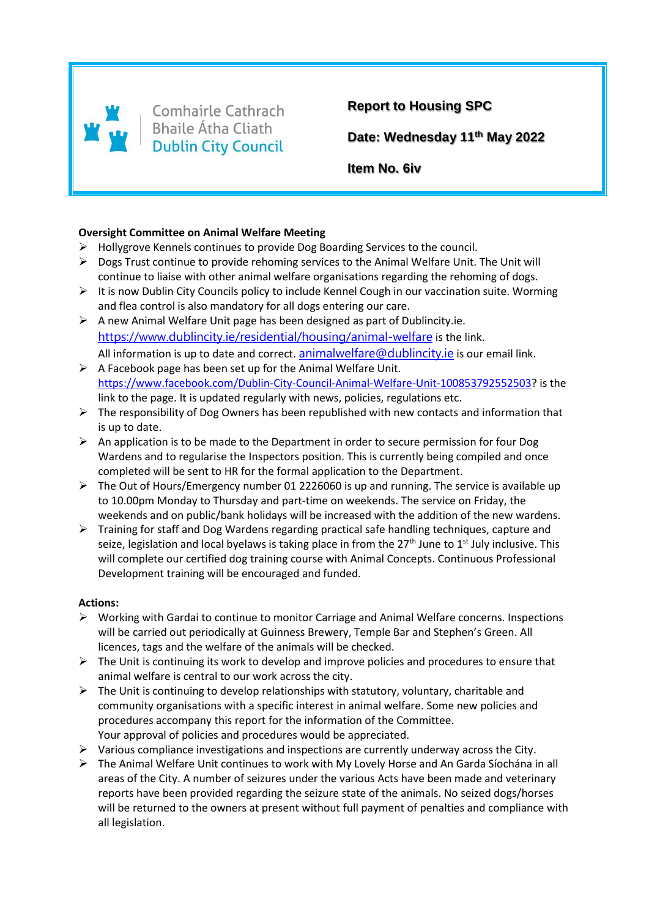

Comhairle Cathrach **Bhaile Átha Cliath Dublin City Council** 

**Report to Housing SPC**

**Date: Wednesday 11th May 2022**

**Item No. 6iv**

## **Oversight Committee on Animal Welfare Meeting**

- $\triangleright$  Hollygrove Kennels continues to provide Dog Boarding Services to the council.
- Dogs Trust continue to provide rehoming services to the Animal Welfare Unit. The Unit will continue to liaise with other animal welfare organisations regarding the rehoming of dogs.
- $\triangleright$  It is now Dublin City Councils policy to include Kennel Cough in our vaccination suite. Worming and flea control is also mandatory for all dogs entering our care.
- $\triangleright$  A new Animal Welfare Unit page has been designed as part of Dublincity.ie. [https://www.dublincity.ie/residential/housing/animal-welfare](https://l.facebook.com/l.php?u=https%3A%2F%2Fwww.dublincity.ie%2Fresidential%2Fhousing%2Fanimal-welfare%3Ffbclid%3DIwAR2e0Ma0hZ2lcH9D0l1gjDK9-EvnUyjyY8os8bjob-Bf0aK1goXG5jR_u50&h=AT26rfYWpkcYyDlt_85FwxJKosoEJFFrMNPq-Ry7kHIxHOkWeZTMr4x5w6ijk93EhMpExEX90FZjEmaYU_EjJIwCyftZbpusqOvMiQzVD81T_C-l_tXuvMJBRXk3wbIVBik) is the link. All information is up to date and correct. [animalwelfare@dublincity.ie](mailto:animalwelfare@dublincity.ie) is our email link.
- $\triangleright$  A Facebook page has been set up for the Animal Welfare Unit. [https://www.facebook.com/Dublin-City-Council-Animal-Welfare-Unit-100853792552503?](https://www.facebook.com/Dublin-City-Council-Animal-Welfare-Unit-100853792552503) is the link to the page. It is updated regularly with news, policies, regulations etc.
- $\triangleright$  The responsibility of Dog Owners has been republished with new contacts and information that is up to date.
- $\triangleright$  An application is to be made to the Department in order to secure permission for four Dog Wardens and to regularise the Inspectors position. This is currently being compiled and once completed will be sent to HR for the formal application to the Department.
- $\triangleright$  The Out of Hours/Emergency number 01 2226060 is up and running. The service is available up to 10.00pm Monday to Thursday and part-time on weekends. The service on Friday, the weekends and on public/bank holidays will be increased with the addition of the new wardens.
- Fraining for staff and Dog Wardens regarding practical safe handling techniques, capture and seize, legislation and local byelaws is taking place in from the  $27<sup>th</sup>$  June to  $1<sup>st</sup>$  July inclusive. This will complete our certified dog training course with Animal Concepts. Continuous Professional Development training will be encouraged and funded.

## **Actions:**

- $\triangleright$  Working with Gardai to continue to monitor Carriage and Animal Welfare concerns. Inspections will be carried out periodically at Guinness Brewery, Temple Bar and Stephen's Green. All licences, tags and the welfare of the animals will be checked.
- $\triangleright$  The Unit is continuing its work to develop and improve policies and procedures to ensure that animal welfare is central to our work across the city.
- $\triangleright$  The Unit is continuing to develop relationships with statutory, voluntary, charitable and community organisations with a specific interest in animal welfare. Some new policies and procedures accompany this report for the information of the Committee. Your approval of policies and procedures would be appreciated.
- $\triangleright$  Various compliance investigations and inspections are currently underway across the City.
- The Animal Welfare Unit continues to work with My Lovely Horse and An Garda Síochána in all areas of the City. A number of seizures under the various Acts have been made and veterinary reports have been provided regarding the seizure state of the animals. No seized dogs/horses will be returned to the owners at present without full payment of penalties and compliance with all legislation.